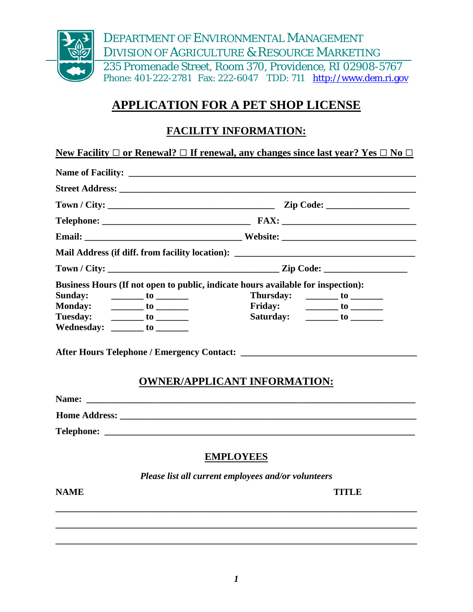

# **APPLICATION FOR A PET SHOP LICENSE**

## **FACILITY INFORMATION:**

|                                |                                                                                                                                                                                                                                                                                                                                                                                                                                                           | Mail Address (if diff. from facility location): _________________________________ |
|--------------------------------|-----------------------------------------------------------------------------------------------------------------------------------------------------------------------------------------------------------------------------------------------------------------------------------------------------------------------------------------------------------------------------------------------------------------------------------------------------------|-----------------------------------------------------------------------------------|
|                                |                                                                                                                                                                                                                                                                                                                                                                                                                                                           |                                                                                   |
|                                |                                                                                                                                                                                                                                                                                                                                                                                                                                                           | Business Hours (If not open to public, indicate hours available for inspection):  |
| <b>Sunday:</b>                 | $\frac{1}{\sqrt{1-\frac{1}{2}}}\cos \frac{\pi}{2}$                                                                                                                                                                                                                                                                                                                                                                                                        | Thursday: _________ to _________                                                  |
| <b>Monday:</b>                 | $\frac{1}{\sqrt{1-\frac{1}{2}}}\cdot \frac{1}{\sqrt{1-\frac{1}{2}}}\cdot \frac{1}{\sqrt{1-\frac{1}{2}}}\cdot \frac{1}{\sqrt{1-\frac{1}{2}}}\cdot \frac{1}{\sqrt{1-\frac{1}{2}}}\cdot \frac{1}{\sqrt{1-\frac{1}{2}}}\cdot \frac{1}{\sqrt{1-\frac{1}{2}}}\cdot \frac{1}{\sqrt{1-\frac{1}{2}}}\cdot \frac{1}{\sqrt{1-\frac{1}{2}}}\cdot \frac{1}{\sqrt{1-\frac{1}{2}}}\cdot \frac{1}{\sqrt{1-\frac{1}{2}}}\cdot \frac{1}{\sqrt{1-\frac{1}{2}}}\cdot \frac{1$ |                                                                                   |
| Tuesday: _________ to ________ |                                                                                                                                                                                                                                                                                                                                                                                                                                                           | Saturday: _________ to _______                                                    |
| Wednesday: _______ to _______  |                                                                                                                                                                                                                                                                                                                                                                                                                                                           |                                                                                   |
|                                |                                                                                                                                                                                                                                                                                                                                                                                                                                                           | <b>OWNER/APPLICANT INFORMATION:</b>                                               |
|                                |                                                                                                                                                                                                                                                                                                                                                                                                                                                           |                                                                                   |
|                                |                                                                                                                                                                                                                                                                                                                                                                                                                                                           |                                                                                   |
|                                |                                                                                                                                                                                                                                                                                                                                                                                                                                                           |                                                                                   |

*Please list all current employees and/or volunteers* 

**\_\_\_\_\_\_\_\_\_\_\_\_\_\_\_\_\_\_\_\_\_\_\_\_\_\_\_\_\_\_\_\_\_\_\_\_\_\_\_\_\_\_\_\_\_\_\_\_\_\_\_\_\_\_\_\_\_\_\_\_\_\_\_\_\_\_\_\_\_\_\_\_\_\_\_\_\_\_** 

**\_\_\_\_\_\_\_\_\_\_\_\_\_\_\_\_\_\_\_\_\_\_\_\_\_\_\_\_\_\_\_\_\_\_\_\_\_\_\_\_\_\_\_\_\_\_\_\_\_\_\_\_\_\_\_\_\_\_\_\_\_\_\_\_\_\_\_\_\_\_\_\_\_\_\_\_\_\_** 

**\_\_\_\_\_\_\_\_\_\_\_\_\_\_\_\_\_\_\_\_\_\_\_\_\_\_\_\_\_\_\_\_\_\_\_\_\_\_\_\_\_\_\_\_\_\_\_\_\_\_\_\_\_\_\_\_\_\_\_\_\_\_\_\_\_\_\_\_\_\_\_\_\_\_\_\_\_\_** 

**NAME** TITLE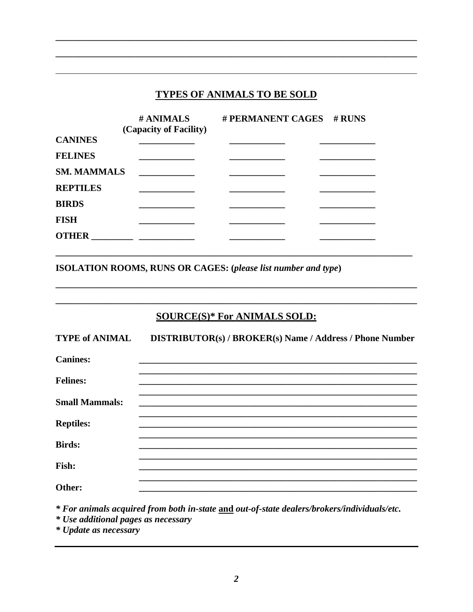## **TYPES OF ANIMALS TO BE SOLD**

|                    | # ANIMALS<br>(Capacity of Facility) | # PERMANENT CAGES # RUNS |  |
|--------------------|-------------------------------------|--------------------------|--|
| <b>CANINES</b>     |                                     |                          |  |
| <b>FELINES</b>     |                                     |                          |  |
| <b>SM. MAMMALS</b> |                                     |                          |  |
| <b>REPTILES</b>    |                                     |                          |  |
| <b>BIRDS</b>       |                                     |                          |  |
| <b>FISH</b>        |                                     |                          |  |
| <b>OTHER</b>       |                                     |                          |  |

ISOLATION ROOMS, RUNS OR CAGES: (please list number and type)

## **SOURCE(S)\* For ANIMALS SOLD:**

| <b>TYPE of ANIMAL</b> | DISTRIBUTOR(s) / BROKER(s) Name / Address / Phone Number |
|-----------------------|----------------------------------------------------------|
| <b>Canines:</b>       |                                                          |
| <b>Felines:</b>       |                                                          |
| <b>Small Mammals:</b> |                                                          |
| <b>Reptiles:</b>      |                                                          |
| <b>Birds:</b>         |                                                          |
| Fish:                 |                                                          |
| Other:                |                                                          |

\* For animals acquired from both in-state and out-of-state dealers/brokers/individuals/etc.

\* Use additional pages as necessary

\* Update as necessary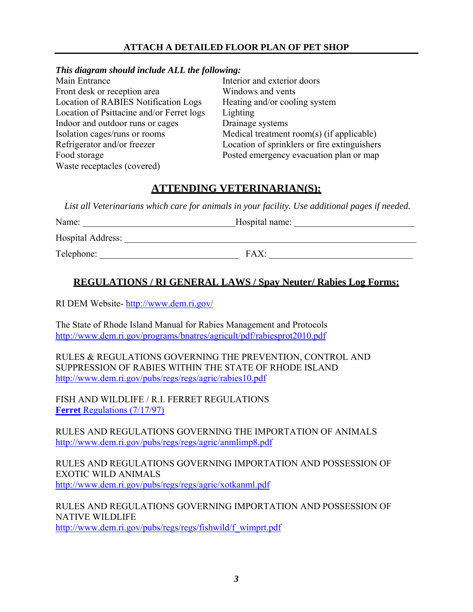### **ATTACH A DETAILED FLOOR PLAN OF PET SHOP**

#### *This diagram should include ALL the following:*

|                                             | Interior and exterior doors                  |
|---------------------------------------------|----------------------------------------------|
|                                             | Windows and vents                            |
| <b>Location of RABIES Notification Logs</b> | Heating and/or cooling system                |
| Location of Psittacine and/or Ferret logs   | Lighting                                     |
| Indoor and outdoor runs or cages            | Drainage systems                             |
|                                             | Medical treatment room(s) (if applicable)    |
|                                             | Location of sprinklers or fire extinguishers |
|                                             | Posted emergency evacuation plan or map      |
|                                             |                                              |
|                                             |                                              |

## **ATTENDING VETERINARIAN(S):**

 *List all Veterinarians which care for animals in your facility. Use additional pages if needed.* 

| Name:             | Hospital name: |  |
|-------------------|----------------|--|
| Hospital Address: |                |  |
| Telephone:        | FAX:           |  |

### **REGULATIONS / RI GENERAL LAWS / Spay Neuter/ Rabies Log Forms:**

RI DEM Website-<http://www.dem.ri.gov/>

The State of Rhode Island Manual for Rabies Management and Protocols <http://www.dem.ri.gov/programs/bnatres/agricult/pdf/rabiesprot2010.pdf>

RULES & REGULATIONS GOVERNING THE PREVENTION, CONTROL AND SUPPRESSION OF RABIES WITHIN THE STATE OF RHODE ISLAND <http://www.dem.ri.gov/pubs/regs/regs/agric/rabies10.pdf>

FISH AND WILDLIFE / R.I. FERRET REGULATIONS **Ferret** [Regulations \(7/17/97\)](http://www.dem.ri.gov/pubs/regs/regs/fishwild/f_wferet.pdf)

RULES AND REGULATIONS GOVERNING THE IMPORTATION OF ANIMALS <http://www.dem.ri.gov/pubs/regs/regs/agric/anmlimp8.pdf>

RULES AND REGULATIONS GOVERNING IMPORTATION AND POSSESSION OF EXOTIC WILD ANIMALS <http://www.dem.ri.gov/pubs/regs/regs/agric/xotkanml.pdf>

RULES AND REGULATIONS GOVERNING IMPORTATION AND POSSESSION OF NATIVE WILDLIFE [http://www.dem.ri.gov/pubs/regs/regs/fishwild/f\\_wimprt.pdf](http://www.dem.ri.gov/pubs/regs/regs/fishwild/f_wimprt.pdf)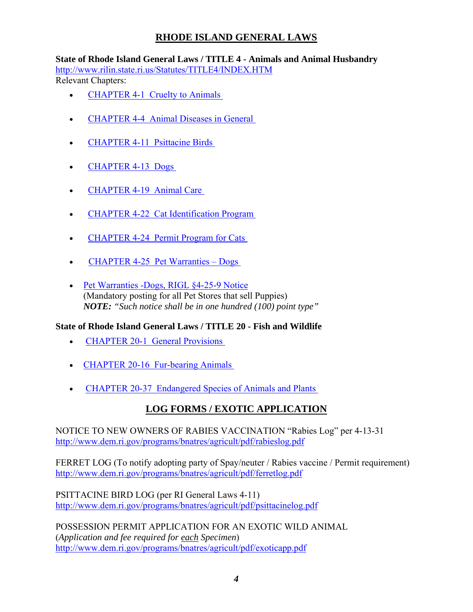## **RHODE ISLAND GENERAL LAWS**

**State of Rhode Island General Laws / TITLE 4 - Animals and Animal Husbandry**  <http://www.rilin.state.ri.us/Statutes/TITLE4/INDEX.HTM> Relevant Chapters:

- CHAPTER 4-1 Cruelty to Animals
- CHAPTER 4-4 Animal Diseases in General
- CHAPTER 4-11 Psittacine Birds
- [CHAPTER 4-13 Dogs](http://www.rilin.state.ri.us/Statutes/TITLE4/4-13/INDEX.HTM)
- [CHAPTER 4-19 Animal Care](http://www.rilin.state.ri.us/Statutes/TITLE4/4-19/INDEX.HTM)
- [CHAPTER 4-22 Cat Identification Program](http://www.rilin.state.ri.us/Statutes/TITLE4/4-22/INDEX.HTM)
- CHAPTER 4-24 Permit Program for Cats
- [CHAPTER 4-25 Pet Warranties Dogs](http://www.rilin.state.ri.us/Statutes/TITLE4/4-25/INDEX.HTM)
- [Pet Warranties -Dogs, RIGL §4-25-9 Notice](http://www.dem.ri.gov/programs/bnatres/agricult/pdf/dogsign.pdf) (Mandatory posting for all Pet Stores that sell Puppies) *NOTE: "Such notice shall be in one hundred (100) point type"*

#### **State of Rhode Island General Laws / TITLE 20 - Fish and Wildlife**

- **CHAPTER 20-1 General Provisions**
- CHAPTER 20-16 Fur-bearing Animals
- CHAPTER 20-37 Endangered Species of Animals and Plants

## **LOG FORMS / EXOTIC APPLICATION**

NOTICE TO NEW OWNERS OF RABIES VACCINATION "Rabies Log" per 4-13-31 <http://www.dem.ri.gov/programs/bnatres/agricult/pdf/rabieslog.pdf>

FERRET LOG (To notify adopting party of Spay/neuter / Rabies vaccine / Permit requirement) <http://www.dem.ri.gov/programs/bnatres/agricult/pdf/ferretlog.pdf>

PSITTACINE BIRD LOG (per RI General Laws 4-11) <http://www.dem.ri.gov/programs/bnatres/agricult/pdf/psittacinelog.pdf>

POSSESSION PERMIT APPLICATION FOR AN EXOTIC WILD ANIMAL (*Application and fee required for each Specimen*) <http://www.dem.ri.gov/programs/bnatres/agricult/pdf/exoticapp.pdf>